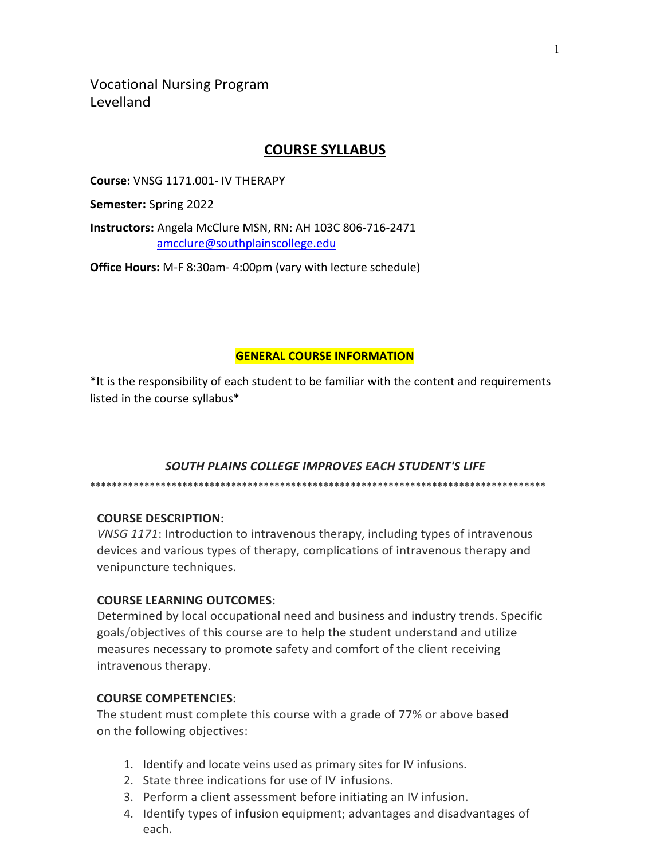Vocational Nursing Program Levelland

# **COURSE SYLLABUS**

**Course:** VNSG 1171.001- IV THERAPY

**Semester:** Spring 2022

**Instructors:** Angela McClure MSN, RN: AH 103C 806-716-2471 [amcclure@southplainscollege.edu](mailto:amcclure@southplainscollege.edu)

**Office Hours:** M-F 8:30am- 4:00pm (vary with lecture schedule)

### **GENERAL COURSE INFORMATION**

\*It is the responsibility of each student to be familiar with the content and requirements listed in the course syllabus\*

## *SOUTH PLAINS COLLEGE IMPROVES EACH STUDENT'S LIFE*

\*\*\*\*\*\*\*\*\*\*\*\*\*\*\*\*\*\*\*\*\*\*\*\*\*\*\*\*\*\*\*\*\*\*\*\*\*\*\*\*\*\*\*\*\*\*\*\*\*\*\*\*\*\*\*\*\*\*\*\*\*\*\*\*\*\*\*\*\*\*\*\*\*\*\*\*\*\*\*\*\*\*\*\*

## **COURSE DESCRIPTION:**

*VNSG 1171*: Introduction to intravenous therapy, including types of intravenous devices and various types of therapy, complications of intravenous therapy and venipuncture techniques.

## **COURSE LEARNING OUTCOMES:**

Determined by local occupational need and business and industry trends. Specific goals/objectives of this course are to help the student understand and utilize measures necessary to promote safety and comfort of the client receiving intravenous therapy.

### **COURSE COMPETENCIES:**

The student must complete this course with a grade of 77% or above based on the following objectives:

- 1. Identify and locate veins used as primary sites for IV infusions.
- 2. State three indications for use of IV infusions.
- 3. Perform a client assessment before initiating an IV infusion.
- 4. Identify types of infusion equipment; advantages and disadvantages of each.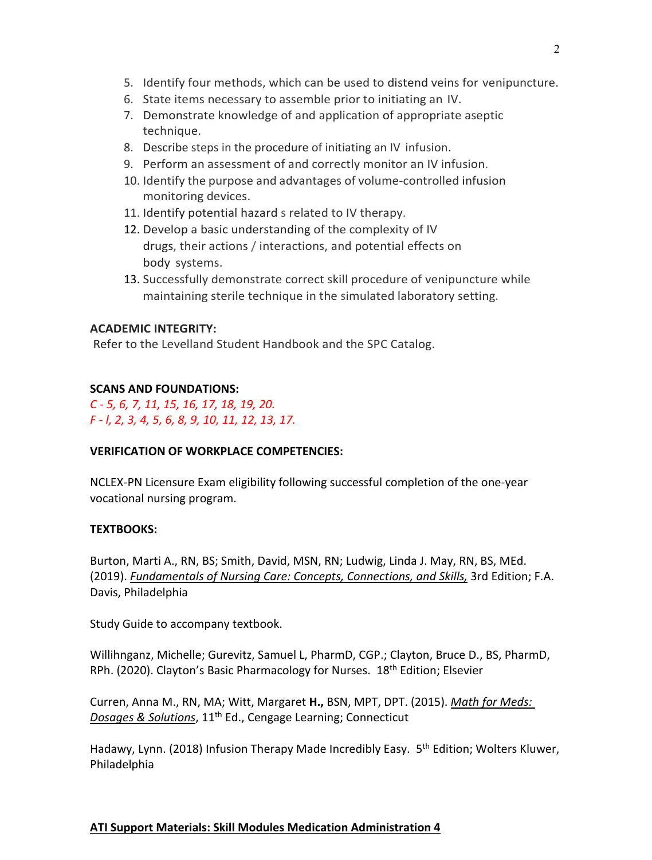- 5. Identify four methods, which can be used to distend veins for venipuncture.
- 6. State items necessary to assemble prior to initiating an IV.
- 7. Demonstrate knowledge of and application of appropriate aseptic technique.
- 8. Describe steps in the procedure of initiating an IV infusion.
- 9. Perform an assessment of and correctly monitor an IV infusion.
- 10. Identify the purpose and advantages of volume-controlled infusion monitoring devices.
- 11. Identify potential hazard s related to IV therapy.
- 12. Develop a basic understanding of the complexity of IV drugs, their actions / interactions, and potential effects on body systems.
- 13. Successfully demonstrate correct skill procedure of venipuncture while maintaining sterile technique in the simulated laboratory setting.

## **ACADEMIC INTEGRITY:**

Refer to the Levelland Student Handbook and the SPC Catalog.

### **SCANS AND FOUNDATIONS:**

*C - 5, 6, 7, 11, 15, 16, 17, 18, 19, 20. F - l, 2, 3, 4, 5, 6, 8, 9, 10, 11, 12, 13, 17.*

### **VERIFICATION OF WORKPLACE COMPETENCIES:**

NCLEX-PN Licensure Exam eligibility following successful completion of the one-year vocational nursing program.

### **TEXTBOOKS:**

Burton, Marti A., RN, BS; Smith, David, MSN, RN; Ludwig, Linda J. May, RN, BS, MEd. (2019). *Fundamentals of Nursing Care: Concepts, Connections, and Skills,* 3rd Edition; F.A. Davis, Philadelphia

Study Guide to accompany textbook.

Willihnganz, Michelle; Gurevitz, Samuel L, PharmD, CGP.; Clayton, Bruce D., BS, PharmD, RPh. (2020). Clayton's Basic Pharmacology for Nurses. 18<sup>th</sup> Edition; Elsevier

Curren, Anna M., RN, MA; Witt, Margaret **H.,** BSN, MPT, DPT. (2015). *Math for Meds: Dosages & Solutions*, 11th Ed., Cengage Learning; Connecticut

Hadawy, Lynn. (2018) Infusion Therapy Made Incredibly Easy. 5<sup>th</sup> Edition; Wolters Kluwer, Philadelphia

## **ATI Support Materials: Skill Modules Medication Administration 4**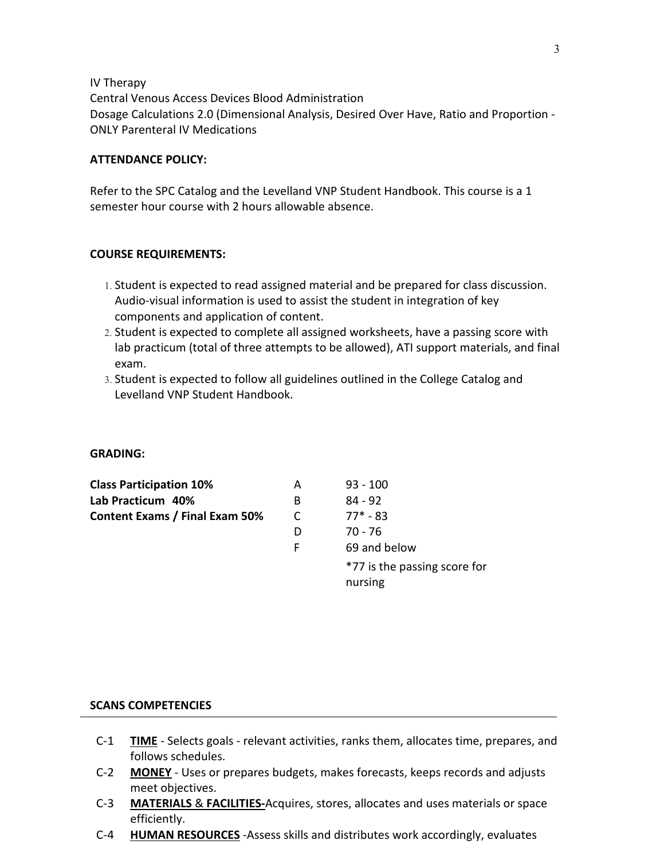IV Therapy

Central Venous Access Devices Blood Administration Dosage Calculations 2.0 (Dimensional Analysis, Desired Over Have, Ratio and Proportion - ONLY Parenteral IV Medications

#### **ATTENDANCE POLICY:**

Refer to the SPC Catalog and the Levelland VNP Student Handbook. This course is a 1 semester hour course with 2 hours allowable absence.

#### **COURSE REQUIREMENTS:**

- 1. Student is expected to read assigned material and be prepared for class discussion. Audio-visual information is used to assist the student in integration of key components and application of content.
- 2. Student is expected to complete all assigned worksheets, have a passing score with lab practicum (total of three attempts to be allowed), ATI support materials, and final exam.
- 3. Student is expected to follow all guidelines outlined in the College Catalog and Levelland VNP Student Handbook.

#### **GRADING:**

| <b>Class Participation 10%</b>        | А | $93 - 100$                   |
|---------------------------------------|---|------------------------------|
| Lab Practicum 40%                     | B | $84 - 92$                    |
| <b>Content Exams / Final Exam 50%</b> |   | $77* - 83$                   |
|                                       | D | 70 - 76                      |
|                                       | F | 69 and below                 |
|                                       |   | *77 is the passing score for |
|                                       |   | nursing                      |

### **SCANS COMPETENCIES**

- C-1 **TIME** Selects goals relevant activities, ranks them, allocates time, prepares, and follows schedules.
- C-2 **MONEY** Uses or prepares budgets, makes forecasts, keeps records and adjusts meet objectives.
- C-3 **MATERIALS** & **FACILITIES-**Acquires, stores, allocates and uses materials or space efficiently.
- C-4 **HUMAN RESOURCES** -Assess skills and distributes work accordingly, evaluates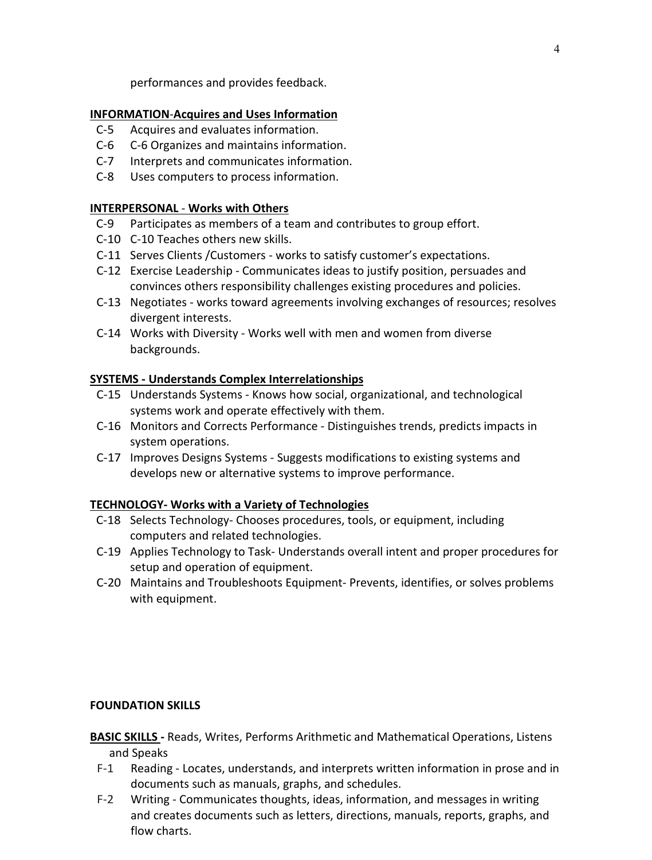performances and provides feedback.

### **INFORMATION**-**Acquires and Uses Information**

- C-5 Acquires and evaluates information.
- C-6 C-6 Organizes and maintains information.
- C-7 Interprets and communicates information.
- C-8 Uses computers to process information.

### **INTERPERSONAL** - **Works with Others**

- C-9 Participates as members of a team and contributes to group effort.
- C-10 C-10 Teaches others new skills.
- C-11 Serves Clients /Customers works to satisfy customer's expectations.
- C-12 Exercise Leadership Communicates ideas to justify position, persuades and convinces others responsibility challenges existing procedures and policies.
- C-13 Negotiates works toward agreements involving exchanges of resources; resolves divergent interests.
- C-14 Works with Diversity Works well with men and women from diverse backgrounds.

## **SYSTEMS - Understands Complex Interrelationships**

- C-15 Understands Systems Knows how social, organizational, and technological systems work and operate effectively with them.
- C-16 Monitors and Corrects Performance Distinguishes trends, predicts impacts in system operations.
- C-17 Improves Designs Systems Suggests modifications to existing systems and develops new or alternative systems to improve performance.

## **TECHNOLOGY- Works with a Variety of Technologies**

- C-18 Selects Technology- Chooses procedures, tools, or equipment, including computers and related technologies.
- C-19 Applies Technology to Task- Understands overall intent and proper procedures for setup and operation of equipment.
- C-20 Maintains and Troubleshoots Equipment- Prevents, identifies, or solves problems with equipment.

### **FOUNDATION SKILLS**

**BASIC SKILLS -** Reads, Writes, Performs Arithmetic and Mathematical Operations, Listens and Speaks

- F-1 Reading Locates, understands, and interprets written information in prose and in documents such as manuals, graphs, and schedules.
- F-2 Writing Communicates thoughts, ideas, information, and messages in writing and creates documents such as letters, directions, manuals, reports, graphs, and flow charts.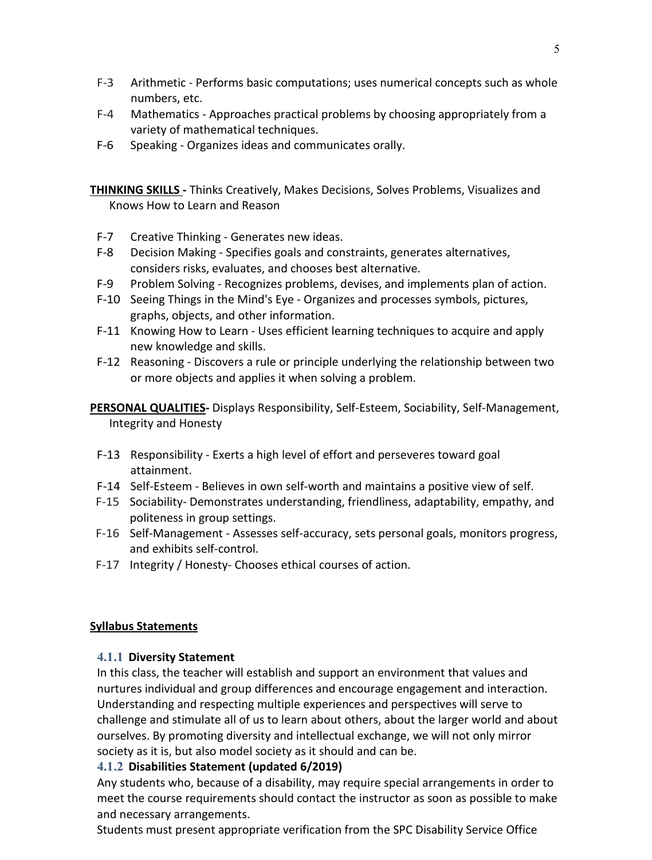- F-3 Arithmetic Performs basic computations; uses numerical concepts such as whole numbers, etc.
- F-4 Mathematics Approaches practical problems by choosing appropriately from a variety of mathematical techniques.
- F-6 Speaking Organizes ideas and communicates orally.

**THINKING SKILLS -** Thinks Creatively, Makes Decisions, Solves Problems, Visualizes and Knows How to Learn and Reason

- F-7 Creative Thinking Generates new ideas.
- F-8 Decision Making Specifies goals and constraints, generates alternatives, considers risks, evaluates, and chooses best alternative.
- F-9 Problem Solving Recognizes problems, devises, and implements plan of action.
- F-10 Seeing Things in the Mind's Eye Organizes and processes symbols, pictures, graphs, objects, and other information.
- F-11 Knowing How to Learn Uses efficient learning techniques to acquire and apply new knowledge and skills.
- F-12 Reasoning Discovers a rule or principle underlying the relationship between two or more objects and applies it when solving a problem.

**PERSONAL QUALITIES-** Displays Responsibility, Self-Esteem, Sociability, Self-Management, Integrity and Honesty

- F-13 Responsibility Exerts a high level of effort and perseveres toward goal attainment.
- F-14 Self-Esteem Believes in own self-worth and maintains a positive view of self.
- F-15 Sociability- Demonstrates understanding, friendliness, adaptability, empathy, and politeness in group settings.
- F-16 Self-Management Assesses self-accuracy, sets personal goals, monitors progress, and exhibits self-control.
- F-17 Integrity / Honesty- Chooses ethical courses of action.

## **Syllabus Statements**

## **4.1.1 Diversity Statement**

In this class, the teacher will establish and support an environment that values and nurtures individual and group differences and encourage engagement and interaction. Understanding and respecting multiple experiences and perspectives will serve to challenge and stimulate all of us to learn about others, about the larger world and about ourselves. By promoting diversity and intellectual exchange, we will not only mirror society as it is, but also model society as it should and can be.

# **4.1.2 Disabilities Statement (updated 6/2019)**

Any students who, because of a disability, may require special arrangements in order to meet the course requirements should contact the instructor as soon as possible to make and necessary arrangements.

Students must present appropriate verification from the SPC Disability Service Office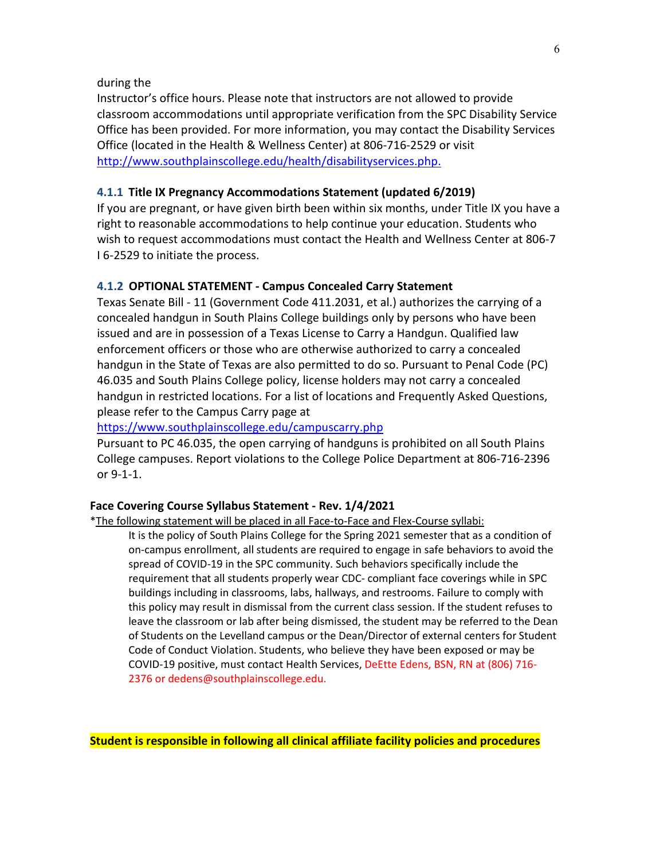#### during the

Instructor's office hours. Please note that instructors are not allowed to provide classroom accommodations until appropriate verification from the SPC Disability Service Office has been provided. For more information, you may contact the Disability Services Office (located in the Health & Wellness Center) at 806-716-2529 or visit <http://www.southplainscollege.edu/health/disabilityservices.php.>

#### **4.1.1 Title IX Pregnancy Accommodations Statement (updated 6/2019)**

If you are pregnant, or have given birth been within six months, under Title IX you have a right to reasonable accommodations to help continue your education. Students who wish to request accommodations must contact the Health and Wellness Center at 806-7 I 6-2529 to initiate the process.

#### **4.1.2 OPTIONAL STATEMENT - Campus Concealed Carry Statement**

Texas Senate Bill - 11 (Government Code 411.2031, et al.) authorizes the carrying of a concealed handgun in South Plains College buildings only by persons who have been issued and are in possession of a Texas License to Carry a Handgun. Qualified law enforcement officers or those who are otherwise authorized to carry a concealed handgun in the State of Texas are also permitted to do so. Pursuant to Penal Code (PC) 46.035 and South Plains College policy, license holders may not carry a concealed handgun in restricted locations. For a list of locations and Frequently Asked Questions, please refer to the Campus Carry page at

#### https:/[/www.southplainscollege.edu/campuscarry.php](http://www.southplainscollege.edu/campuscarry.php)

Pursuant to PC 46.035, the open carrying of handguns is prohibited on all South Plains College campuses. Report violations to the College Police Department at 806-716-2396 or 9-1-1.

#### **Face Covering Course Syllabus Statement - Rev. 1/4/2021**

\*The following statement will be placed in all Face-to-Face and Flex-Course syllabi:

It is the policy of South Plains College for the Spring 2021 semester that as a condition of on-campus enrollment, all students are required to engage in safe behaviors to avoid the spread of COVID-19 in the SPC community. Such behaviors specifically include the requirement that all students properly wear CDC- compliant face coverings while in SPC buildings including in classrooms, labs, hallways, and restrooms. Failure to comply with this policy may result in dismissal from the current class session. If the student refuses to leave the classroom or lab after being dismissed, the student may be referred to the Dean of Students on the Levelland campus or the Dean/Director of external centers for Student Code of Conduct Violation. Students, who believe they have been exposed or may be COVID-19 positive, must contact Health Services, DeEtte Edens, BSN, RN at (806) 716- 2376 or dedens@southplainscollege.edu.

**Student is responsible in following all clinical affiliate facility policies and procedures**